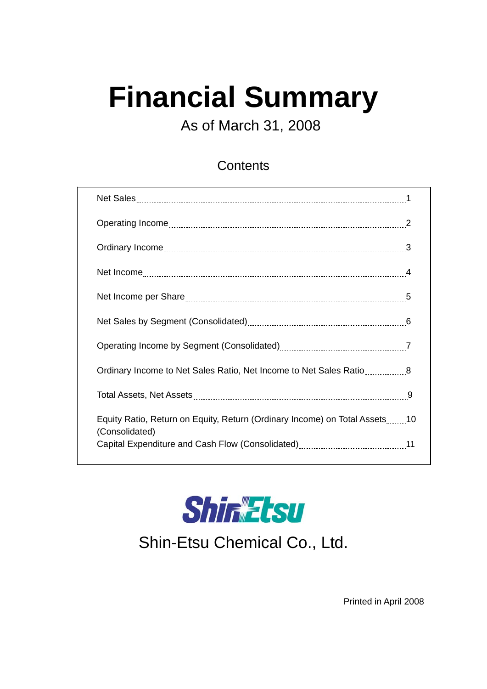# **Financial Summary**

As of March 31, 2008

#### **Contents**

| Ordinary Income to Net Sales Ratio, Net Income to Net Sales Ratio8                           |  |
|----------------------------------------------------------------------------------------------|--|
|                                                                                              |  |
| Equity Ratio, Return on Equity, Return (Ordinary Income) on Total Assets10<br>(Consolidated) |  |
|                                                                                              |  |



Shin-Etsu Chemical Co., Ltd.

Printed in April 2008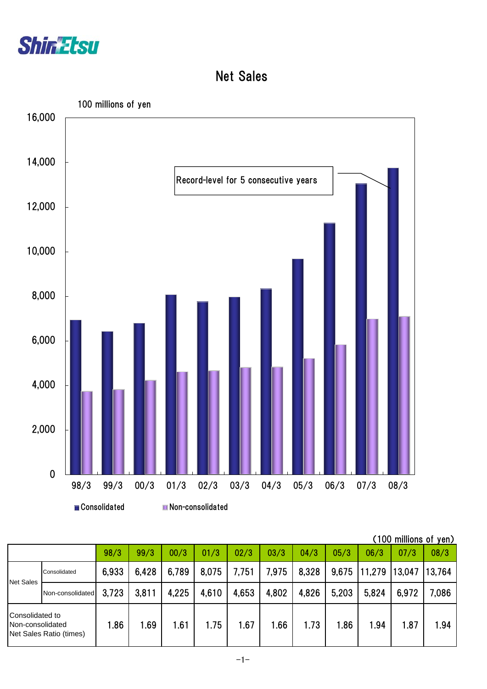

## Net Sales



|                                                                |                  |       |       |       |       |       |       |       |       |        | (100 millions of yen) |        |
|----------------------------------------------------------------|------------------|-------|-------|-------|-------|-------|-------|-------|-------|--------|-----------------------|--------|
|                                                                |                  | 98/3  | 99/3  | 00/3  | 01/3  | 02/3  | 03/3  | 04/3  | 05/3  | 06/3   | 07/3                  | 08/3   |
| <b>Net Sales</b>                                               | Consolidated     | 6,933 | 6,428 | 6,789 | 8,075 | 7,751 | 7,975 | 8,328 | 9,675 | 11,279 | 13,047                | 13,764 |
|                                                                | Non-consolidated | 3,723 | 3,811 | 4,225 | 4,610 | 4,653 | 4,802 | 4,826 | 5,203 | 5,824  | 6,972                 | 7.086  |
| Consolidated to<br>Non-consolidated<br>Net Sales Ratio (times) |                  | 1.86  | .69   | 1.61  | 1.75  | 1.67  | .66   | 1.73  | 1.86  | 1.94   | 1.87                  | 1.94   |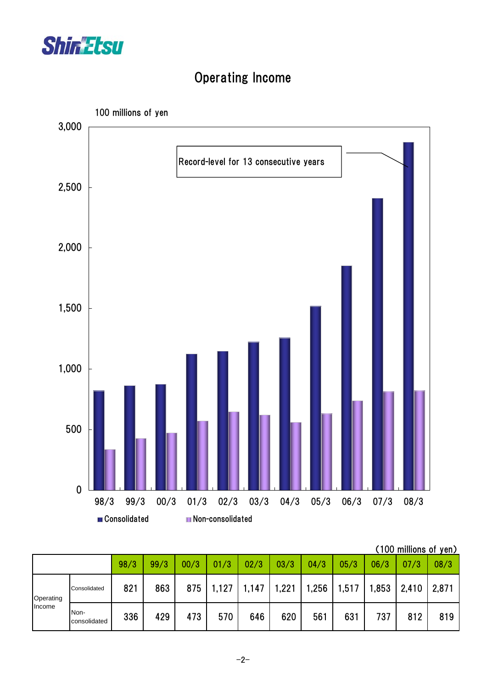

# Operating Income



|           |              |                      |      |      |       |       |       |      |       |       |       | , וואס טוווווווטווג טוווווו |      |
|-----------|--------------|----------------------|------|------|-------|-------|-------|------|-------|-------|-------|-----------------------------|------|
|           |              |                      | 98/3 | 99/3 | 00/3  | 01/3  | 02/3  | 03/3 | 04/3  | 05/3  | 06/3  | 07/3                        | 08/3 |
| Operating | Consolidated | 821                  | 863  | 875  | 1,127 | 1,147 | 1,221 | ,256 | 1,517 | 1,853 | 2,410 | 2,871                       |      |
|           | Income       | Non-<br>consolidated | 336  | 429  | 473   | 570   | 646   | 620  | 561   | 631   | 737   | 812                         | 819  |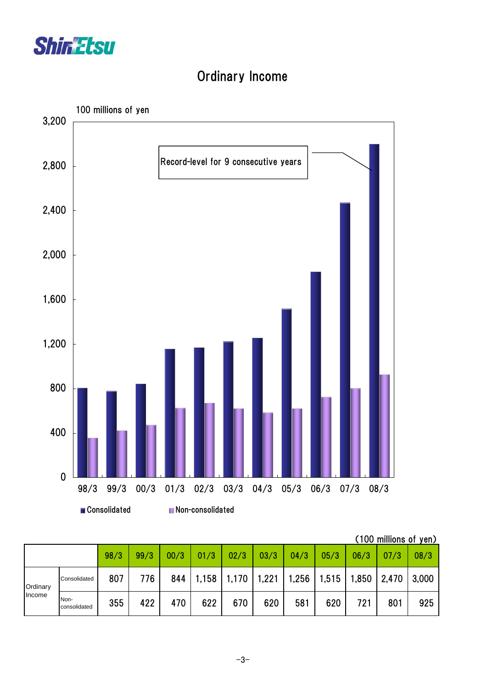

# Ordinary Income



|                    |                      | 98/3 | 99/3 | 00/3 | 01/3  | 02/3  | 03/3  | 04/3  | 05/3  | 06/3  | (TUU MINIUMS OF YEN <i>)</i><br>07/3 | 08/3  |
|--------------------|----------------------|------|------|------|-------|-------|-------|-------|-------|-------|--------------------------------------|-------|
| Ordinary<br>Income | Consolidated         | 807  | 776  | 844  | 1,158 | 1,170 | 1,221 | 1,256 | 1,515 | 1,850 | 2,470                                | 3,000 |
|                    | Non-<br>consolidated | 355  | 422  | 470  | 622   | 670   | 620   | 581   | 620   | 721   | 801                                  | 925   |

| (100 millions of yen) |  |
|-----------------------|--|
|-----------------------|--|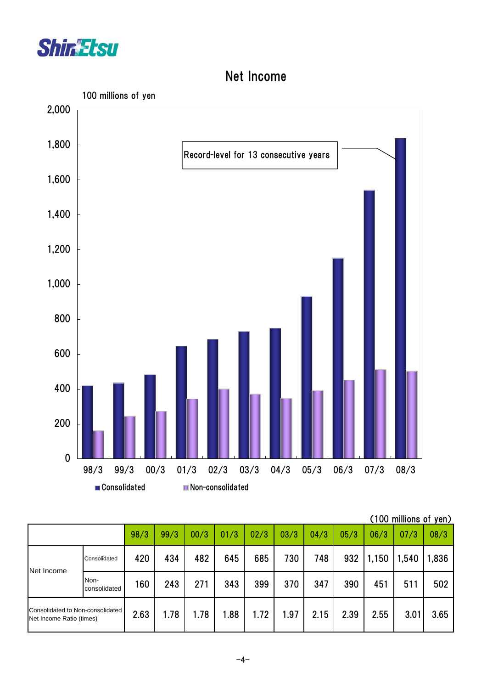

# Net Income



|                                                              |                      |      |      |      |      |      |      |      |      |       | (100 millions of yen) |       |
|--------------------------------------------------------------|----------------------|------|------|------|------|------|------|------|------|-------|-----------------------|-------|
|                                                              |                      | 98/3 | 99/3 | 00/3 | 01/3 | 02/3 | 03/3 | 04/3 | 05/3 | 06/3  | 07/3                  | 08/3  |
| Net Income                                                   | Consolidated         | 420  | 434  | 482  | 645  | 685  | 730  | 748  | 932  | 1,150 | 1,540                 | 1,836 |
|                                                              | Non-<br>consolidated | 160  | 243  | 271  | 343  | 399  | 370  | 347  | 390  | 451   | 511                   | 502   |
| Consolidated to Non-consolidated<br>Net Income Ratio (times) | 2.63                 | 1.78 | 1.78 | 1.88 | 1.72 | 1.97 | 2.15 | 2.39 | 2.55 | 3.01  | 3.65                  |       |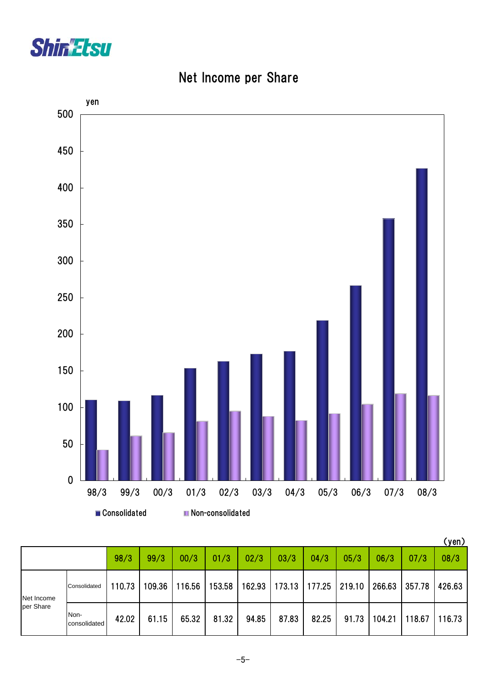



Net Income per Share

|                         |                      |        |        |        |        |        |       |                      |       |        |        | (yen)  |
|-------------------------|----------------------|--------|--------|--------|--------|--------|-------|----------------------|-------|--------|--------|--------|
|                         |                      | 98/3   | 99/3   | 00/3   | 01/3   | 02/3   | 03/3  | 04/3                 | 05/3  | 06/3   | 07/3   | 08/3   |
| Net Income<br>per Share | Consolidated         | 110.73 | 109.36 | 116.56 | 153.58 | 162.93 |       | 173.13 177.25 219.10 |       | 266.63 | 357.78 | 426.63 |
|                         | Non-<br>consolidated | 42.02  | 61.15  | 65.32  | 81.32  | 94.85  | 87.83 | 82.25                | 91.73 | 104.21 | 118.67 | 116.73 |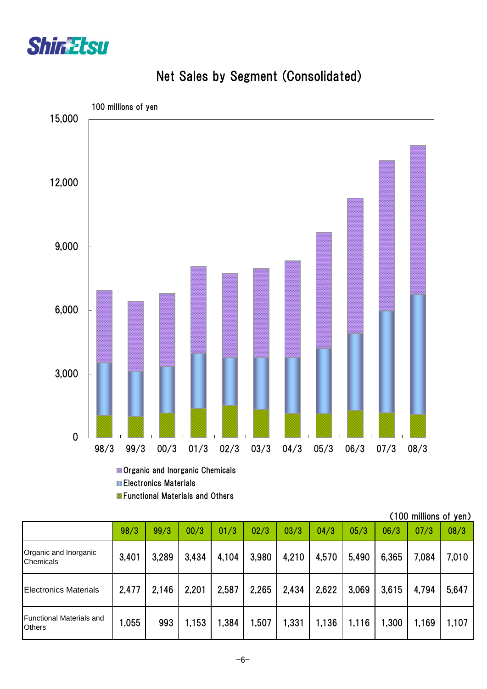



## Net Sales by Segment (Consolidated)

Electronics Materials

**Exercicional Materials and Others** 

|                                                  |       |       |       |       |       |       |       |       |       | (100 millions of yen) |       |
|--------------------------------------------------|-------|-------|-------|-------|-------|-------|-------|-------|-------|-----------------------|-------|
|                                                  | 98/3  | 99/3  | 00/3  | 01/3  | 02/3  | 03/3  | 04/3  | 05/3  | 06/3  | 07/3                  | 08/3  |
| Organic and Inorganic<br><b>Chemicals</b>        | 3,401 | 3,289 | 3,434 | 4,104 | 3,980 | 4,210 | 4,570 | 5,490 | 6,365 | 7,084                 | 7,010 |
| <b>Electronics Materials</b>                     | 2,477 | 2,146 | 2,201 | 2,587 | 2,265 | 2,434 | 2,622 | 3,069 | 3,615 | 4,794                 | 5,647 |
| <b>Functional Materials and</b><br><b>Others</b> | 1,055 | 993   | 1,153 | 1,384 | 1,507 | 1,331 | 1,136 | 1,116 | 1,300 | 1,169                 | 1,107 |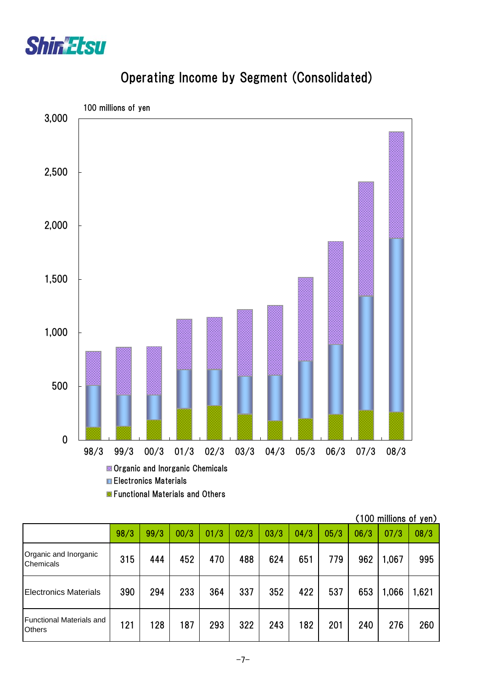



# Operating Income by Segment (Consolidated)

|                                           |      |      |      |      |      |      |      |      |      | (100 millions of yen) |       |
|-------------------------------------------|------|------|------|------|------|------|------|------|------|-----------------------|-------|
|                                           | 98/3 | 99/3 | 00/3 | 01/3 | 02/3 | 03/3 | 04/3 | 05/3 | 06/3 | 07/3                  | 08/3  |
| Organic and Inorganic<br><b>Chemicals</b> | 315  | 444  | 452  | 470  | 488  | 624  | 651  | 779  | 962  | 1,067                 | 995   |
| <b>Electronics Materials</b>              | 390  | 294  | 233  | 364  | 337  | 352  | 422  | 537  | 653  | 1,066                 | 1,621 |
| Functional Materials and<br><b>Others</b> | 121  | 128  | 187  | 293  | 322  | 243  | 182  | 201  | 240  | 276                   | 260   |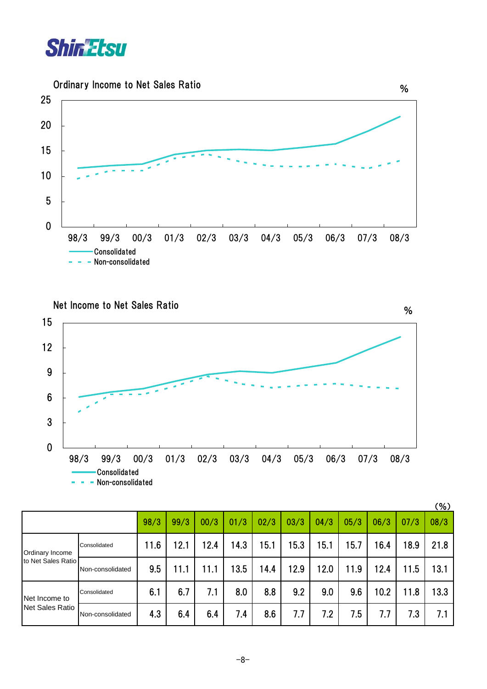





|                    |                  |      |      |      |      |      |      |      |      |      |      | (%)  |
|--------------------|------------------|------|------|------|------|------|------|------|------|------|------|------|
|                    |                  | 98/3 | 99/3 | 00/3 | 01/3 | 02/3 | 03/3 | 04/3 | 05/3 | 06/3 | 07/3 | 08/3 |
| Ordinary Income    | Consolidated     | 11.6 | 12.1 | 12.4 | 14.3 | 15.1 | 15.3 | 15.1 | 15.7 | 16.4 | 18.9 | 21.8 |
| to Net Sales Ratio | Non-consolidated | 9.5  | 11.1 | 11.1 | 13.5 | 14.4 | 12.9 | 12.0 | 11.9 | 12.4 | 11.5 | 13.1 |
| Net Income to      | Consolidated     | 6.1  | 6.7  | 7.1  | 8.0  | 8.8  | 9.2  | 9.0  | 9.6  | 10.2 | 11.8 | 13.3 |
| Net Sales Ratio    | Non-consolidated | 4.3  | 6.4  | 6.4  | 7.4  | 8.6  | 7.7  | 7.2  | 7.5  | 7.7  | 7.3  | 7.1  |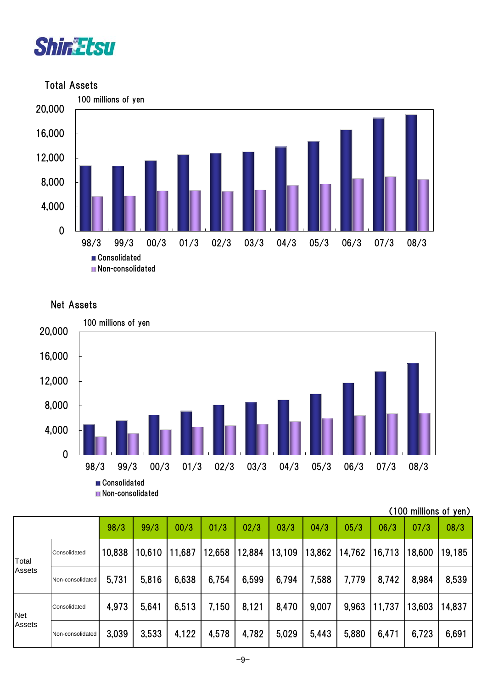

Total Assets



#### Net Assets



| (100 millions of yen) |  |
|-----------------------|--|
|-----------------------|--|

|            |                  | 98/3   | 99/3   | 00/3   | 01/3   | 02/3   | 03/3   | 04/3   | 05/3   | 06/3   | 07/3   | 08/3   |
|------------|------------------|--------|--------|--------|--------|--------|--------|--------|--------|--------|--------|--------|
| Total      | Consolidated     | 10,838 | 10,610 | 11,687 | 12,658 | 12,884 | 13,109 | 13,862 | 14,762 | 16,713 | 18,600 | 19,185 |
| Assets     | Non-consolidated | 5,731  | 5,816  | 6,638  | 6,754  | 6,599  | 6,794  | 7,588  | 7,779  | 8,742  | 8,984  | 8,539  |
| <b>Net</b> | Consolidated     | 4,973  | 5,641  | 6,513  | 7,150  | 8,121  | 8,470  | 9,007  | 9,963  | 11,737 | 13,603 | 14,837 |
| Assets     | Non-consolidated | 3,039  | 3,533  | 4,122  | 4,578  | 4,782  | 5,029  | 5,443  | 5,880  | 6,471  | 6,723  | 6,691  |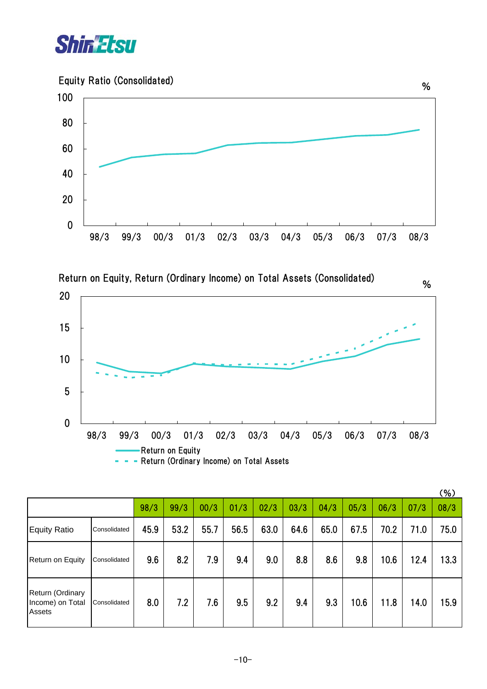

#### Equity Ratio (Consolidated)





|                                                |              |      |      |      |      |      |      |      |      |      |      | (% ) |
|------------------------------------------------|--------------|------|------|------|------|------|------|------|------|------|------|------|
|                                                |              | 98/3 | 99/3 | 00/3 | 01/3 | 02/3 | 03/3 | 04/3 | 05/3 | 06/3 | 07/3 | 08/3 |
| <b>Equity Ratio</b>                            | Consolidated | 45.9 | 53.2 | 55.7 | 56.5 | 63.0 | 64.6 | 65.0 | 67.5 | 70.2 | 71.0 | 75.0 |
| Return on Equity                               | Consolidated | 9.6  | 8.2  | 7.9  | 9.4  | 9.0  | 8.8  | 8.6  | 9.8  | 10.6 | 12.4 | 13.3 |
| Return (Ordinary<br>Income) on Total<br>Assets | Consolidated | 8.0  | 7.2  | 7.6  | 9.5  | 9.2  | 9.4  | 9.3  | 10.6 | 11.8 | 14.0 | 15.9 |